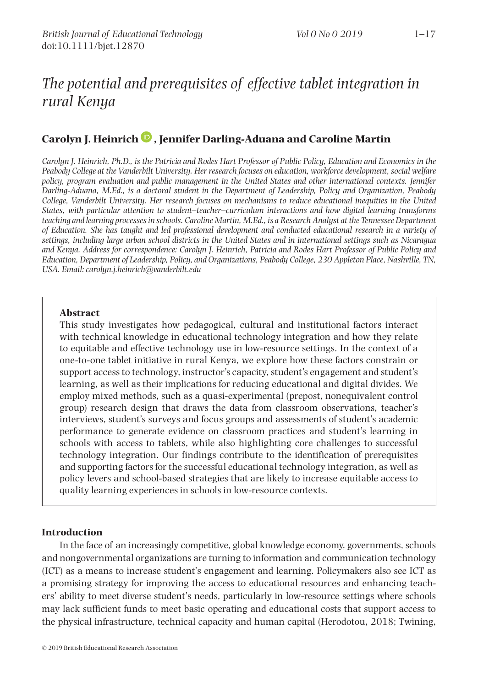# *The potential and prerequisites of effective tablet integration in rural Kenya*

# **Carolyn J. Heinrich , Jennifer Darling-Aduana and Caroline Martin**

*Carolyn J. Heinrich, Ph.D., is the Patricia and Rodes Hart Professor of Public Policy, Education and Economics in the Peabody College at the Vanderbilt University. Her research focuses on education, workforce development, social welfare policy, program evaluation and public management in the United States and other international contexts. Jennifer Darling-Aduana, M.Ed., is a doctoral student in the Department of Leadership, Policy and Organization, Peabody College, Vanderbilt University. Her research focuses on mechanisms to reduce educational inequities in the United States, with particular attention to student–teacher–curriculum interactions and how digital learning transforms teaching and learning processes in schools. Caroline Martin, M.Ed., is a Research Analyst at the Tennessee Department of Education. She has taught and led professional development and conducted educational research in a variety of settings, including large urban school districts in the United States and in international settings such as Nicaragua and Kenya. Address for correspondence: Carolyn J. Heinrich, Patricia and Rodes Hart Professor of Public Policy and Education, Department of Leadership, Policy, and Organizations, Peabody College, 230 Appleton Place, Nashville, TN, USA. Email: [carolyn.j.heinrich@vanderbilt.edu](mailto:carolyn.j.heinrich@vanderbilt.edu)*

#### **Abstract**

This study investigates how pedagogical, cultural and institutional factors interact with technical knowledge in educational technology integration and how they relate to equitable and effective technology use in low-resource settings. In the context of a one-to-one tablet initiative in rural Kenya, we explore how these factors constrain or support access to technology, instructor's capacity, student's engagement and student's learning, as well as their implications for reducing educational and digital divides. We employ mixed methods, such as a quasi-experimental (prepost, nonequivalent control group) research design that draws the data from classroom observations, teacher's interviews, student's surveys and focus groups and assessments of student's academic performance to generate evidence on classroom practices and student's learning in schools with access to tablets, while also highlighting core challenges to successful technology integration. Our findings contribute to the identification of prerequisites and supporting factors for the successful educational technology integration, as well as policy levers and school-based strategies that are likely to increase equitable access to quality learning experiences in schools in low-resource contexts.

#### **Introduction**

In the face of an increasingly competitive, global knowledge economy, governments, schools and nongovernmental organizations are turning to information and communication technology (ICT) as a means to increase student's engagement and learning. Policymakers also see ICT as a promising strategy for improving the access to educational resources and enhancing teachers' ability to meet diverse student's needs, particularly in low-resource settings where schools may lack sufficient funds to meet basic operating and educational costs that support access to the physical infrastructure, technical capacity and human capital (Herodotou, 2018; Twining,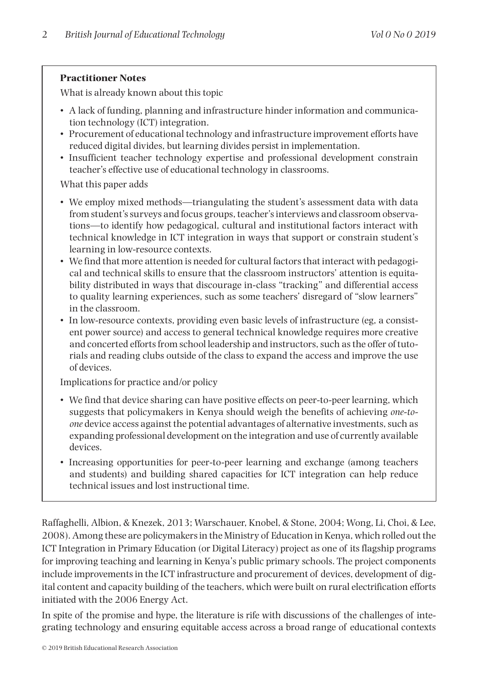# **Practitioner Notes**

What is already known about this topic

- A lack of funding, planning and infrastructure hinder information and communication technology (ICT) integration.
- Procurement of educational technology and infrastructure improvement efforts have reduced digital divides, but learning divides persist in implementation.
- Insufficient teacher technology expertise and professional development constrain teacher's effective use of educational technology in classrooms.

What this paper adds

- We employ mixed methods—triangulating the student's assessment data with data from student's surveys and focus groups, teacher's interviews and classroom observations—to identify how pedagogical, cultural and institutional factors interact with technical knowledge in ICT integration in ways that support or constrain student's learning in low-resource contexts.
- We find that more attention is needed for cultural factors that interact with pedagogical and technical skills to ensure that the classroom instructors' attention is equitability distributed in ways that discourage in-class "tracking" and differential access to quality learning experiences, such as some teachers' disregard of "slow learners" in the classroom.
- In low-resource contexts, providing even basic levels of infrastructure (eg, a consistent power source) and access to general technical knowledge requires more creative and concerted efforts from school leadership and instructors, such as the offer of tutorials and reading clubs outside of the class to expand the access and improve the use of devices.

Implications for practice and/or policy

- We find that device sharing can have positive effects on peer-to-peer learning, which suggests that policymakers in Kenya should weigh the benefits of achieving *one-toone* device access against the potential advantages of alternative investments, such as expanding professional development on the integration and use of currently available devices.
- Increasing opportunities for peer-to-peer learning and exchange (among teachers and students) and building shared capacities for ICT integration can help reduce technical issues and lost instructional time.

Raffaghelli, Albion, & Knezek, 2013; Warschauer, Knobel, & Stone, 2004; Wong, Li, Choi, & Lee, 2008). Among these are policymakers in the Ministry of Education in Kenya, which rolled out the ICT Integration in Primary Education (or Digital Literacy) project as one of its flagship programs for improving teaching and learning in Kenya's public primary schools. The project components include improvements in the ICT infrastructure and procurement of devices, development of digital content and capacity building of the teachers, which were built on rural electrification efforts initiated with the 2006 Energy Act.

In spite of the promise and hype, the literature is rife with discussions of the challenges of integrating technology and ensuring equitable access across a broad range of educational contexts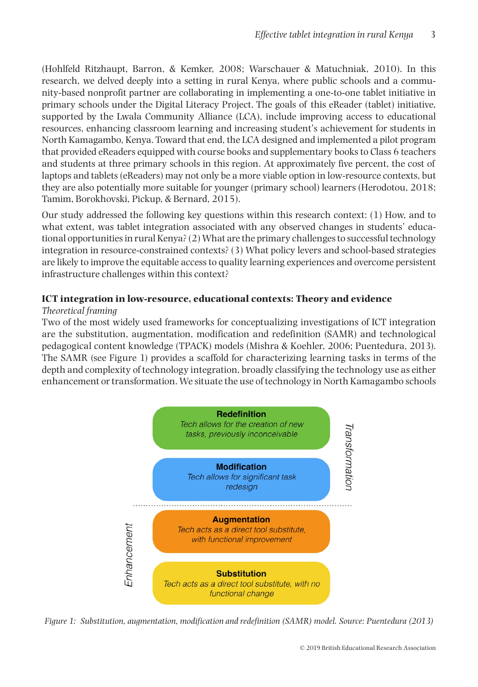(Hohlfeld Ritzhaupt, Barron, & Kemker, 2008; Warschauer & Matuchniak, 2010). In this research, we delved deeply into a setting in rural Kenya, where public schools and a community-based nonprofit partner are collaborating in implementing a one-to-one tablet initiative in primary schools under the Digital Literacy Project. The goals of this eReader (tablet) initiative, supported by the Lwala Community Alliance (LCA), include improving access to educational resources, enhancing classroom learning and increasing student's achievement for students in North Kamagambo, Kenya. Toward that end, the LCA designed and implemented a pilot program that provided eReaders equipped with course books and supplementary books to Class 6 teachers and students at three primary schools in this region. At approximately five percent, the cost of laptops and tablets (eReaders) may not only be a more viable option in low-resource contexts, but they are also potentially more suitable for younger (primary school) learners (Herodotou, 2018; Tamim, Borokhovski, Pickup, & Bernard, 2015).

Our study addressed the following key questions within this research context: (1) How, and to what extent, was tablet integration associated with any observed changes in students' educational opportunities in rural Kenya? (2) What are the primary challenges to successful technology integration in resource-constrained contexts? (3) What policy levers and school-based strategies are likely to improve the equitable access to quality learning experiences and overcome persistent infrastructure challenges within this context?

# **ICT integration in low-resource, educational contexts: Theory and evidence**

#### *Theoretical framing*

Two of the most widely used frameworks for conceptualizing investigations of ICT integration are the substitution, augmentation, modification and redefinition (SAMR) and technological pedagogical content knowledge (TPACK) models (Mishra & Koehler, 2006; Puentedura, 2013). The SAMR (see Figure 1) provides a scaffold for characterizing learning tasks in terms of the depth and complexity of technology integration, broadly classifying the technology use as either enhancement or transformation. We situate the use of technology in North Kamagambo schools



*Figure 1: Substitution, augmentation, modification and redefinition (SAMR) model. Source: Puentedura (2013)*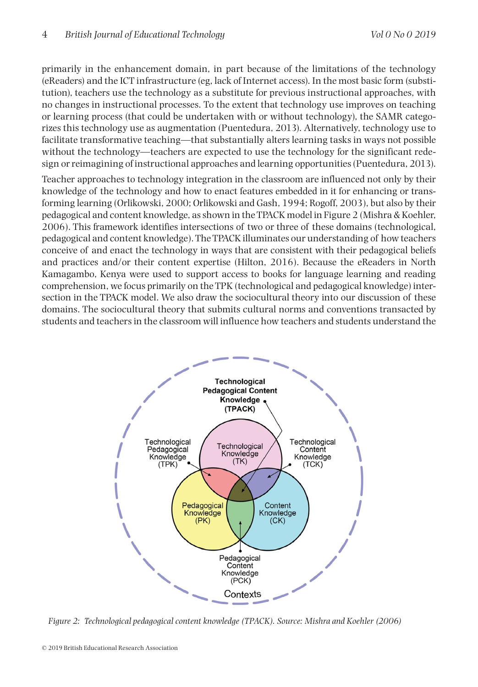primarily in the enhancement domain, in part because of the limitations of the technology (eReaders) and the ICT infrastructure (eg, lack of Internet access). In the most basic form (substitution), teachers use the technology as a substitute for previous instructional approaches, with no changes in instructional processes. To the extent that technology use improves on teaching or learning process (that could be undertaken with or without technology), the SAMR categorizes this technology use as augmentation (Puentedura, 2013). Alternatively, technology use to facilitate transformative teaching—that substantially alters learning tasks in ways not possible without the technology—teachers are expected to use the technology for the significant redesign or reimagining of instructional approaches and learning opportunities (Puentedura, 2013).

Teacher approaches to technology integration in the classroom are influenced not only by their knowledge of the technology and how to enact features embedded in it for enhancing or transforming learning (Orlikowski, 2000; Orlikowski and Gash, 1994; Rogoff, 2003), but also by their pedagogical and content knowledge, as shown in the TPACK model in Figure 2 (Mishra & Koehler, 2006). This framework identifies intersections of two or three of these domains (technological, pedagogical and content knowledge). The TPACK illuminates our understanding of how teachers conceive of and enact the technology in ways that are consistent with their pedagogical beliefs and practices and/or their content expertise (Hilton, 2016). Because the eReaders in North Kamagambo, Kenya were used to support access to books for language learning and reading comprehension, we focus primarily on the TPK (technological and pedagogical knowledge) intersection in the TPACK model. We also draw the sociocultural theory into our discussion of these domains. The sociocultural theory that submits cultural norms and conventions transacted by students and teachers in the classroom will influence how teachers and students understand the



*Figure 2: Technological pedagogical content knowledge (TPACK). Source: Mishra and Koehler (2006)*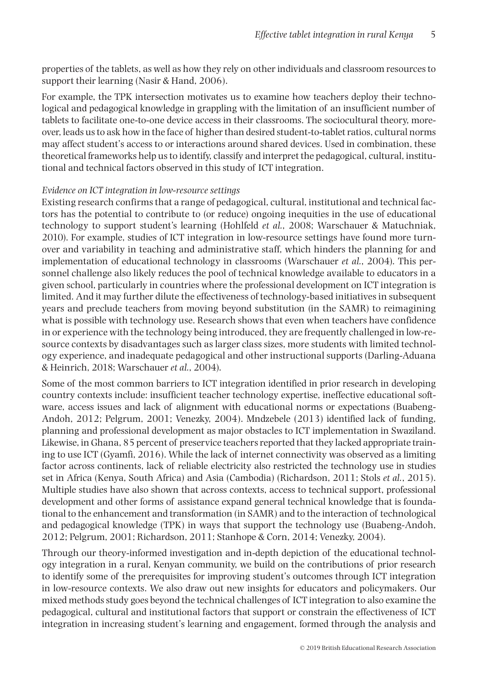properties of the tablets, as well as how they rely on other individuals and classroom resources to support their learning (Nasir & Hand, 2006).

For example, the TPK intersection motivates us to examine how teachers deploy their technological and pedagogical knowledge in grappling with the limitation of an insufficient number of tablets to facilitate one-to-one device access in their classrooms. The sociocultural theory, moreover, leads us to ask how in the face of higher than desired student-to-tablet ratios, cultural norms may affect student's access to or interactions around shared devices. Used in combination, these theoretical frameworks help us to identify, classify and interpret the pedagogical, cultural, institutional and technical factors observed in this study of ICT integration.

#### *Evidence on ICT integration in low-resource settings*

Existing research confirms that a range of pedagogical, cultural, institutional and technical factors has the potential to contribute to (or reduce) ongoing inequities in the use of educational technology to support student's learning (Hohlfeld *et al.*, 2008; Warschauer & Matuchniak, 2010). For example, studies of ICT integration in low-resource settings have found more turnover and variability in teaching and administrative staff, which hinders the planning for and implementation of educational technology in classrooms (Warschauer *et al.*, 2004). This personnel challenge also likely reduces the pool of technical knowledge available to educators in a given school, particularly in countries where the professional development on ICT integration is limited. And it may further dilute the effectiveness of technology-based initiatives in subsequent years and preclude teachers from moving beyond substitution (in the SAMR) to reimagining what is possible with technology use. Research shows that even when teachers have confidence in or experience with the technology being introduced, they are frequently challenged in low-resource contexts by disadvantages such as larger class sizes, more students with limited technology experience, and inadequate pedagogical and other instructional supports (Darling-Aduana & Heinrich, 2018; Warschauer *et al.*, 2004).

Some of the most common barriers to ICT integration identified in prior research in developing country contexts include: insufficient teacher technology expertise, ineffective educational software, access issues and lack of alignment with educational norms or expectations (Buabeng-Andoh, 2012; Pelgrum, 2001; Venezky, 2004). Mndzebele (2013) identified lack of funding, planning and professional development as major obstacles to ICT implementation in Swaziland. Likewise, in Ghana, 85 percent of preservice teachers reported that they lacked appropriate training to use ICT (Gyamfi, 2016). While the lack of internet connectivity was observed as a limiting factor across continents, lack of reliable electricity also restricted the technology use in studies set in Africa (Kenya, South Africa) and Asia (Cambodia) (Richardson, 2011; Stols *et al.*, 2015). Multiple studies have also shown that across contexts, access to technical support, professional development and other forms of assistance expand general technical knowledge that is foundational to the enhancement and transformation (in SAMR) and to the interaction of technological and pedagogical knowledge (TPK) in ways that support the technology use (Buabeng-Andoh, 2012; Pelgrum, 2001; Richardson, 2011; Stanhope & Corn, 2014; Venezky, 2004).

Through our theory-informed investigation and in-depth depiction of the educational technology integration in a rural, Kenyan community, we build on the contributions of prior research to identify some of the prerequisites for improving student's outcomes through ICT integration in low-resource contexts. We also draw out new insights for educators and policymakers. Our mixed methods study goes beyond the technical challenges of ICT integration to also examine the pedagogical, cultural and institutional factors that support or constrain the effectiveness of ICT integration in increasing student's learning and engagement, formed through the analysis and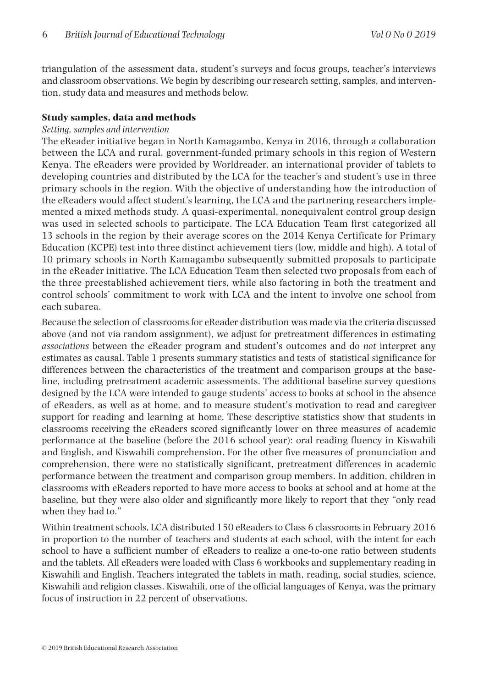triangulation of the assessment data, student's surveys and focus groups, teacher's interviews and classroom observations. We begin by describing our research setting, samples, and intervention, study data and measures and methods below.

# **Study samples, data and methods**

#### *Setting, samples and intervention*

The eReader initiative began in North Kamagambo, Kenya in 2016, through a collaboration between the LCA and rural, government-funded primary schools in this region of Western Kenya. The eReaders were provided by Worldreader, an international provider of tablets to developing countries and distributed by the LCA for the teacher's and student's use in three primary schools in the region. With the objective of understanding how the introduction of the eReaders would affect student's learning, the LCA and the partnering researchers implemented a mixed methods study. A quasi-experimental, nonequivalent control group design was used in selected schools to participate. The LCA Education Team first categorized all 13 schools in the region by their average scores on the 2014 Kenya Certificate for Primary Education (KCPE) test into three distinct achievement tiers (low, middle and high). A total of 10 primary schools in North Kamagambo subsequently submitted proposals to participate in the eReader initiative. The LCA Education Team then selected two proposals from each of the three preestablished achievement tiers, while also factoring in both the treatment and control schools' commitment to work with LCA and the intent to involve one school from each subarea.

Because the selection of classrooms for eReader distribution was made via the criteria discussed above (and not via random assignment), we adjust for pretreatment differences in estimating *associations* between the eReader program and student's outcomes and do *not* interpret any estimates as causal. Table 1 presents summary statistics and tests of statistical significance for differences between the characteristics of the treatment and comparison groups at the baseline, including pretreatment academic assessments. The additional baseline survey questions designed by the LCA were intended to gauge students' access to books at school in the absence of eReaders, as well as at home, and to measure student's motivation to read and caregiver support for reading and learning at home. These descriptive statistics show that students in classrooms receiving the eReaders scored significantly lower on three measures of academic performance at the baseline (before the 2016 school year): oral reading fluency in Kiswahili and English, and Kiswahili comprehension. For the other five measures of pronunciation and comprehension, there were no statistically significant, pretreatment differences in academic performance between the treatment and comparison group members. In addition, children in classrooms with eReaders reported to have more access to books at school and at home at the baseline, but they were also older and significantly more likely to report that they "only read when they had to."

Within treatment schools, LCA distributed 150 eReaders to Class 6 classrooms in February 2016 in proportion to the number of teachers and students at each school, with the intent for each school to have a sufficient number of eReaders to realize a one-to-one ratio between students and the tablets. All eReaders were loaded with Class 6 workbooks and supplementary reading in Kiswahili and English. Teachers integrated the tablets in math, reading, social studies, science, Kiswahili and religion classes. Kiswahili, one of the official languages of Kenya, was the primary focus of instruction in 22 percent of observations.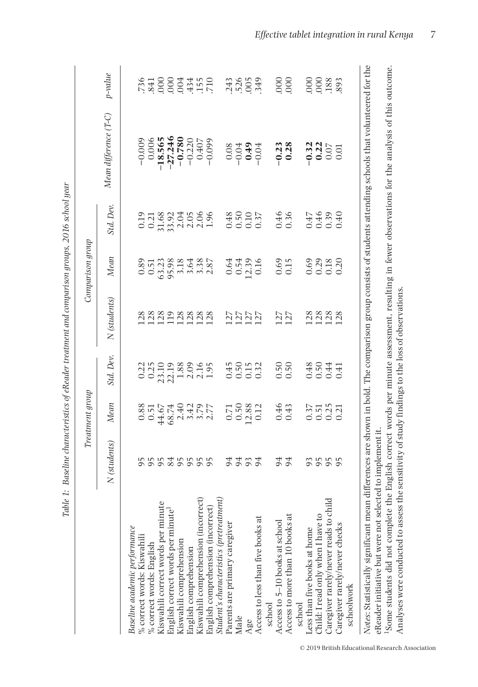|                                                                                                                                                           |                      | Treatment group                                               |                                                                                                                                                                                                                                                                                       |                   | Comparison group                      |                                                                                          |                                                                                                                    |                     |
|-----------------------------------------------------------------------------------------------------------------------------------------------------------|----------------------|---------------------------------------------------------------|---------------------------------------------------------------------------------------------------------------------------------------------------------------------------------------------------------------------------------------------------------------------------------------|-------------------|---------------------------------------|------------------------------------------------------------------------------------------|--------------------------------------------------------------------------------------------------------------------|---------------------|
|                                                                                                                                                           | N (students)         | Mean                                                          | Std. Dev.                                                                                                                                                                                                                                                                             | N (students)      | Mean                                  | Std. Dev.                                                                                | Mean difference (T-C)                                                                                              | $p$ -value          |
| Baseline academic performance                                                                                                                             |                      |                                                               |                                                                                                                                                                                                                                                                                       |                   |                                       |                                                                                          |                                                                                                                    |                     |
| % correct words: Kiswahili                                                                                                                                |                      |                                                               |                                                                                                                                                                                                                                                                                       | <b>28</b>         | 0.89                                  | 0.19                                                                                     | $-0.009$                                                                                                           |                     |
| % correct words: English                                                                                                                                  |                      |                                                               |                                                                                                                                                                                                                                                                                       |                   |                                       |                                                                                          | 0.006                                                                                                              |                     |
| Kiswahili correct words per minut                                                                                                                         | 95                   | $0.38\n0.51\n44.67\n0.74\n0.83\n0.77\n0.88\n0.77\n0.88\n0.77$ | $\begin{array}{c} 2,3,4,6 \\ 0,3,4,5 \\ 0,4,5,6 \\ 0,5,6,7 \\ 0,6,7,8 \\ 0,7,7,8 \\ 0,7,7,8 \\ 0,7,7,8 \\ 0,7,7,8 \\ 0,7,7,8 \\ 0,7,7,8 \\ 0,7,7,8 \\ 0,7,7,8 \\ 0,7,7,8 \\ 0,7,7,8 \\ 0,7,7,8 \\ 0,7,7,8 \\ 0,7,7,8 \\ 0,7,7,8 \\ 0,7,7,8 \\ 0,7,7,8 \\ 0,7,7,8 \\ 0,7,7,8 \\ 0,7,7$ | 23223223          |                                       | $\begin{array}{c} 0.21 \\ 31.68 \\ 33.92 \\ 2.05 \\ 1.96 \\ 2.05 \\ 1.96 \\ \end{array}$ | $-18.565$                                                                                                          |                     |
| English correct words per minute <sup>1</sup>                                                                                                             |                      |                                                               |                                                                                                                                                                                                                                                                                       |                   |                                       |                                                                                          | $-27.246$                                                                                                          |                     |
| Kiswahili comprehension                                                                                                                                   | \$5555               |                                                               |                                                                                                                                                                                                                                                                                       |                   |                                       |                                                                                          | $-0.780$                                                                                                           |                     |
| English comprehension                                                                                                                                     |                      |                                                               |                                                                                                                                                                                                                                                                                       |                   |                                       |                                                                                          |                                                                                                                    |                     |
| Kiswahili comprehension (incorrect)                                                                                                                       |                      |                                                               |                                                                                                                                                                                                                                                                                       |                   |                                       |                                                                                          | $-0.220$<br>0.407                                                                                                  |                     |
| English comprehension (incorrect)                                                                                                                         |                      |                                                               |                                                                                                                                                                                                                                                                                       |                   |                                       |                                                                                          | $-0.099$                                                                                                           |                     |
| Student's characteristics (pretreatment)                                                                                                                  |                      |                                                               |                                                                                                                                                                                                                                                                                       |                   |                                       |                                                                                          |                                                                                                                    |                     |
| Parents are primary caregiver                                                                                                                             |                      |                                                               |                                                                                                                                                                                                                                                                                       | 127               |                                       |                                                                                          |                                                                                                                    | 243<br>005<br>0.349 |
| Male                                                                                                                                                      |                      |                                                               |                                                                                                                                                                                                                                                                                       |                   |                                       |                                                                                          |                                                                                                                    |                     |
| Age                                                                                                                                                       | ははいれ                 | $\begin{array}{c} 0.71 \\ 0.58 \\ 0.23 \\ 0.12 \end{array}$   | 0.50<br>0.50<br>0.32                                                                                                                                                                                                                                                                  | $\frac{127}{127}$ |                                       |                                                                                          |                                                                                                                    |                     |
| Access to less than five books at                                                                                                                         |                      |                                                               |                                                                                                                                                                                                                                                                                       |                   | $0.64$<br>$0.54$<br>$12.39$<br>$0.16$ | 0.50<br>0.50<br>0.00<br>0.00                                                             | $-0.04$<br>$-0.04$<br>$-0.04$                                                                                      |                     |
| school                                                                                                                                                    |                      |                                                               |                                                                                                                                                                                                                                                                                       |                   |                                       |                                                                                          |                                                                                                                    |                     |
| Access to 5-10 books at school                                                                                                                            | 34<br>94             | 0.46<br>0.43                                                  | $0.50$<br>$0.50$                                                                                                                                                                                                                                                                      | 127<br>127        | $0.69$<br>0.15                        | 0.46<br>0.36                                                                             | $-0.23$<br>0.28                                                                                                    | 000                 |
| Access to more than 10 books at                                                                                                                           |                      |                                                               |                                                                                                                                                                                                                                                                                       |                   |                                       |                                                                                          |                                                                                                                    | 000                 |
| school                                                                                                                                                    |                      |                                                               |                                                                                                                                                                                                                                                                                       |                   |                                       |                                                                                          |                                                                                                                    |                     |
|                                                                                                                                                           | 93                   |                                                               |                                                                                                                                                                                                                                                                                       |                   |                                       |                                                                                          |                                                                                                                    |                     |
| Less than five books at home<br>Child: I read only when I have to                                                                                         | 95                   |                                                               |                                                                                                                                                                                                                                                                                       |                   |                                       |                                                                                          |                                                                                                                    |                     |
| Caregiver rarely/never reads to child                                                                                                                     |                      | 37<br>0000<br>000                                             | 0.544<br>0.544<br>0.00                                                                                                                                                                                                                                                                | 28<br>228<br>228  |                                       | $0.450$<br>$0.490$<br>$0.50$                                                             | $-0.32$<br>$0.27$<br>$0.07$<br>$0.01$                                                                              | 000<br>000333       |
| Caregiver rarely/never checks                                                                                                                             | 95                   |                                                               |                                                                                                                                                                                                                                                                                       |                   |                                       |                                                                                          |                                                                                                                    |                     |
| schoolwork                                                                                                                                                |                      |                                                               |                                                                                                                                                                                                                                                                                       |                   |                                       |                                                                                          |                                                                                                                    |                     |
| Notes: Statistically significant mean differences are shown in bold. The comparison group consists of students attending schools that volunteered for the |                      |                                                               |                                                                                                                                                                                                                                                                                       |                   |                                       |                                                                                          |                                                                                                                    |                     |
| eReader initiative but were not sele<br>Some students did not complete                                                                                    | cted to implement it |                                                               |                                                                                                                                                                                                                                                                                       |                   |                                       |                                                                                          | the English correct words per minute assessment, resulting in fewer observations for the analysis of this outcome. |                     |
|                                                                                                                                                           |                      |                                                               |                                                                                                                                                                                                                                                                                       |                   |                                       |                                                                                          |                                                                                                                    |                     |

Table 1: Baseline characteristics of eReader treatment and comparison groups, 2016 school year *Table 1: Baseline characteristics of eReader treatment and comparison groups, 2016 school year*

Analyses were conducted to assess the sensitivity of study findings to the loss of observations.

Analyses were conducted to assess the sensitivity of study findings to the loss of observations.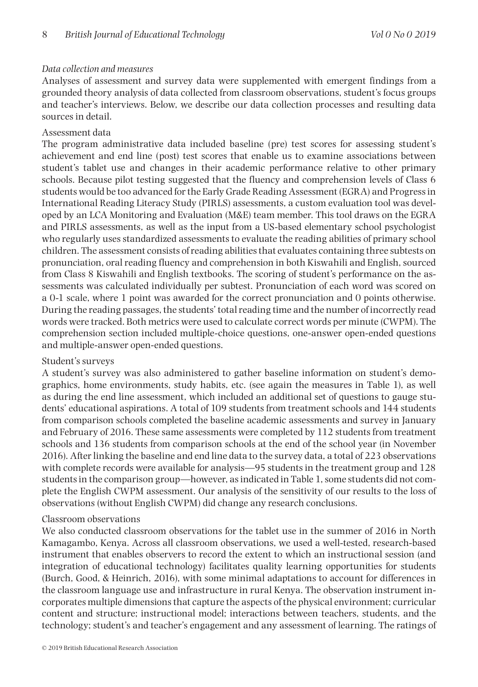# *Data collection and measures*

Analyses of assessment and survey data were supplemented with emergent findings from a grounded theory analysis of data collected from classroom observations, student's focus groups and teacher's interviews. Below, we describe our data collection processes and resulting data sources in detail.

# Assessment data

The program administrative data included baseline (pre) test scores for assessing student's achievement and end line (post) test scores that enable us to examine associations between student's tablet use and changes in their academic performance relative to other primary schools. Because pilot testing suggested that the fluency and comprehension levels of Class 6 students would be too advanced for the Early Grade Reading Assessment (EGRA) and Progress in International Reading Literacy Study (PIRLS) assessments, a custom evaluation tool was developed by an LCA Monitoring and Evaluation (M&E) team member. This tool draws on the EGRA and PIRLS assessments, as well as the input from a US-based elementary school psychologist who regularly uses standardized assessments to evaluate the reading abilities of primary school children. The assessment consists of reading abilities that evaluates containing three subtests on pronunciation, oral reading fluency and comprehension in both Kiswahili and English, sourced from Class 8 Kiswahili and English textbooks. The scoring of student's performance on the assessments was calculated individually per subtest. Pronunciation of each word was scored on a 0-1 scale, where 1 point was awarded for the correct pronunciation and 0 points otherwise. During the reading passages, the students' total reading time and the number of incorrectly read words were tracked. Both metrics were used to calculate correct words per minute (CWPM). The comprehension section included multiple-choice questions, one-answer open-ended questions and multiple-answer open-ended questions.

# Student's surveys

A student's survey was also administered to gather baseline information on student's demographics, home environments, study habits, etc. (see again the measures in Table 1), as well as during the end line assessment, which included an additional set of questions to gauge students' educational aspirations. A total of 109 students from treatment schools and 144 students from comparison schools completed the baseline academic assessments and survey in January and February of 2016. These same assessments were completed by 112 students from treatment schools and 136 students from comparison schools at the end of the school year (in November 2016). After linking the baseline and end line data to the survey data, a total of 223 observations with complete records were available for analysis—95 students in the treatment group and 128 students in the comparison group—however, as indicated in Table 1, some students did not complete the English CWPM assessment. Our analysis of the sensitivity of our results to the loss of observations (without English CWPM) did change any research conclusions.

# Classroom observations

We also conducted classroom observations for the tablet use in the summer of 2016 in North Kamagambo, Kenya. Across all classroom observations, we used a well-tested, research-based instrument that enables observers to record the extent to which an instructional session (and integration of educational technology) facilitates quality learning opportunities for students (Burch, Good, & Heinrich, 2016), with some minimal adaptations to account for differences in the classroom language use and infrastructure in rural Kenya. The observation instrument incorporates multiple dimensions that capture the aspects of the physical environment; curricular content and structure; instructional model; interactions between teachers, students, and the technology; student's and teacher's engagement and any assessment of learning. The ratings of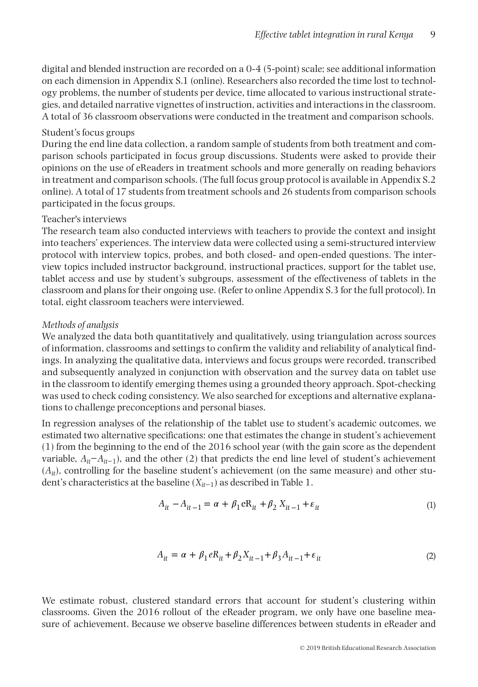digital and blended instruction are recorded on a 0-4 (5-point) scale; see additional information on each dimension in Appendix S.1 (online). Researchers also recorded the time lost to technology problems, the number of students per device, time allocated to various instructional strategies, and detailed narrative vignettes of instruction, activities and interactions in the classroom. A total of 36 classroom observations were conducted in the treatment and comparison schools.

#### Student's focus groups

During the end line data collection, a random sample of students from both treatment and comparison schools participated in focus group discussions. Students were asked to provide their opinions on the use of eReaders in treatment schools and more generally on reading behaviors in treatment and comparison schools. (The full focus group protocol is available in Appendix S.2 online). A total of 17 students from treatment schools and 26 students from comparison schools participated in the focus groups.

#### Teacher's interviews

The research team also conducted interviews with teachers to provide the context and insight into teachers' experiences. The interview data were collected using a semi-structured interview protocol with interview topics, probes, and both closed- and open-ended questions. The interview topics included instructor background, instructional practices, support for the tablet use, tablet access and use by student's subgroups, assessment of the effectiveness of tablets in the classroom and plans for their ongoing use. (Refer to online Appendix S.3 for the full protocol). In total, eight classroom teachers were interviewed.

#### *Methods of analysis*

We analyzed the data both quantitatively and qualitatively, using triangulation across sources of information, classrooms and settings to confirm the validity and reliability of analytical findings. In analyzing the qualitative data, interviews and focus groups were recorded, transcribed and subsequently analyzed in conjunction with observation and the survey data on tablet use in the classroom to identify emerging themes using a grounded theory approach. Spot-checking was used to check coding consistency. We also searched for exceptions and alternative explanations to challenge preconceptions and personal biases.

In regression analyses of the relationship of the tablet use to student's academic outcomes, we estimated two alternative specifications: one that estimates the change in student's achievement (1) from the beginning to the end of the 2016 school year (with the gain score as the dependent variable, *Ait*−*Ait*−1), and the other (2) that predicts the end line level of student's achievement  $(A_{it})$ , controlling for the baseline student's achievement (on the same measure) and other student's characteristics at the baseline (*Xit*−1) as described in Table 1.

$$
A_{it} - A_{it-1} = \alpha + \beta_1 eR_{it} + \beta_2 X_{it-1} + \varepsilon_{it}
$$
 (1)

$$
A_{it} = \alpha + \beta_1 e R_{it} + \beta_2 X_{it-1} + \beta_3 A_{it-1} + \varepsilon_{it}
$$
 (2)

We estimate robust, clustered standard errors that account for student's clustering within classrooms. Given the 2016 rollout of the eReader program, we only have one baseline measure of achievement. Because we observe baseline differences between students in eReader and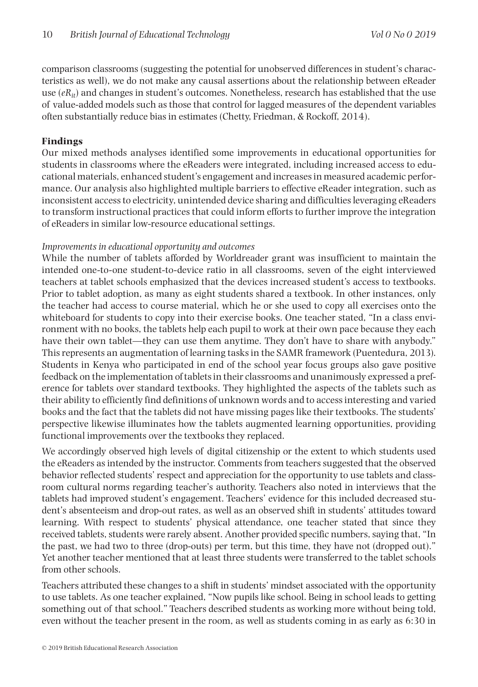comparison classrooms (suggesting the potential for unobserved differences in student's characteristics as well), we do not make any causal assertions about the relationship between eReader use  $(eR_{it})$  and changes in student's outcomes. Nonetheless, research has established that the use of value-added models such as those that control for lagged measures of the dependent variables often substantially reduce bias in estimates (Chetty, Friedman, & Rockoff, 2014).

# **Findings**

Our mixed methods analyses identified some improvements in educational opportunities for students in classrooms where the eReaders were integrated, including increased access to educational materials, enhanced student's engagement and increases in measured academic performance. Our analysis also highlighted multiple barriers to effective eReader integration, such as inconsistent access to electricity, unintended device sharing and difficulties leveraging eReaders to transform instructional practices that could inform efforts to further improve the integration of eReaders in similar low-resource educational settings.

# *Improvements in educational opportunity and outcomes*

While the number of tablets afforded by Worldreader grant was insufficient to maintain the intended one-to-one student-to-device ratio in all classrooms, seven of the eight interviewed teachers at tablet schools emphasized that the devices increased student's access to textbooks. Prior to tablet adoption, as many as eight students shared a textbook. In other instances, only the teacher had access to course material, which he or she used to copy all exercises onto the whiteboard for students to copy into their exercise books. One teacher stated, "In a class environment with no books, the tablets help each pupil to work at their own pace because they each have their own tablet—they can use them anytime. They don't have to share with anybody." This represents an augmentation of learning tasks in the SAMR framework (Puentedura, 2013). Students in Kenya who participated in end of the school year focus groups also gave positive feedback on the implementation of tablets in their classrooms and unanimously expressed a preference for tablets over standard textbooks. They highlighted the aspects of the tablets such as their ability to efficiently find definitions of unknown words and to access interesting and varied books and the fact that the tablets did not have missing pages like their textbooks. The students' perspective likewise illuminates how the tablets augmented learning opportunities, providing functional improvements over the textbooks they replaced.

We accordingly observed high levels of digital citizenship or the extent to which students used the eReaders as intended by the instructor. Comments from teachers suggested that the observed behavior reflected students' respect and appreciation for the opportunity to use tablets and classroom cultural norms regarding teacher's authority. Teachers also noted in interviews that the tablets had improved student's engagement. Teachers' evidence for this included decreased student's absenteeism and drop-out rates, as well as an observed shift in students' attitudes toward learning. With respect to students' physical attendance, one teacher stated that since they received tablets, students were rarely absent. Another provided specific numbers, saying that, "In the past, we had two to three (drop-outs) per term, but this time, they have not (dropped out)." Yet another teacher mentioned that at least three students were transferred to the tablet schools from other schools.

Teachers attributed these changes to a shift in students' mindset associated with the opportunity to use tablets. As one teacher explained, "Now pupils like school. Being in school leads to getting something out of that school." Teachers described students as working more without being told, even without the teacher present in the room, as well as students coming in as early as 6:30 in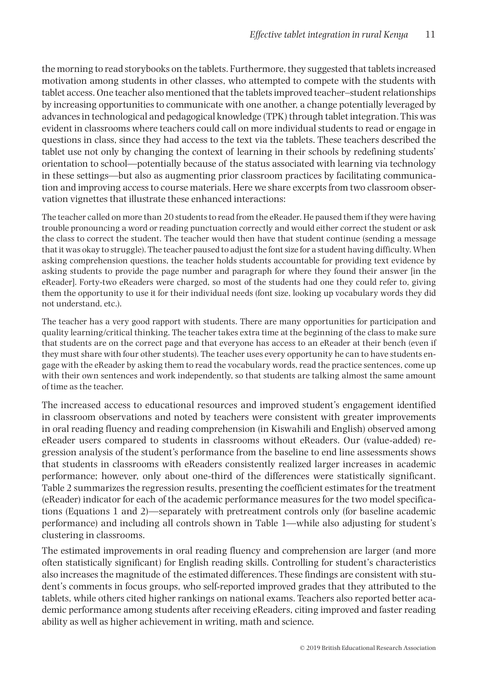the morning to read storybooks on the tablets. Furthermore, they suggested that tablets increased motivation among students in other classes, who attempted to compete with the students with tablet access. One teacher also mentioned that the tablets improved teacher–student relationships by increasing opportunities to communicate with one another, a change potentially leveraged by advances in technological and pedagogical knowledge (TPK) through tablet integration. This was evident in classrooms where teachers could call on more individual students to read or engage in questions in class, since they had access to the text via the tablets. These teachers described the tablet use not only by changing the context of learning in their schools by redefining students' orientation to school—potentially because of the status associated with learning via technology in these settings—but also as augmenting prior classroom practices by facilitating communication and improving access to course materials. Here we share excerpts from two classroom observation vignettes that illustrate these enhanced interactions:

The teacher called on more than 20 students to read from the eReader. He paused them if they were having trouble pronouncing a word or reading punctuation correctly and would either correct the student or ask the class to correct the student. The teacher would then have that student continue (sending a message that it was okay to struggle). The teacher paused to adjust the font size for a student having difficulty. When asking comprehension questions, the teacher holds students accountable for providing text evidence by asking students to provide the page number and paragraph for where they found their answer [in the eReader]. Forty-two eReaders were charged, so most of the students had one they could refer to, giving them the opportunity to use it for their individual needs (font size, looking up vocabulary words they did not understand, etc.).

The teacher has a very good rapport with students. There are many opportunities for participation and quality learning/critical thinking. The teacher takes extra time at the beginning of the class to make sure that students are on the correct page and that everyone has access to an eReader at their bench (even if they must share with four other students). The teacher uses every opportunity he can to have students engage with the eReader by asking them to read the vocabulary words, read the practice sentences, come up with their own sentences and work independently, so that students are talking almost the same amount of time as the teacher.

The increased access to educational resources and improved student's engagement identified in classroom observations and noted by teachers were consistent with greater improvements in oral reading fluency and reading comprehension (in Kiswahili and English) observed among eReader users compared to students in classrooms without eReaders. Our (value-added) regression analysis of the student's performance from the baseline to end line assessments shows that students in classrooms with eReaders consistently realized larger increases in academic performance; however, only about one-third of the differences were statistically significant. Table 2 summarizes the regression results, presenting the coefficient estimates for the treatment (eReader) indicator for each of the academic performance measures for the two model specifications (Equations 1 and 2)—separately with pretreatment controls only (for baseline academic performance) and including all controls shown in Table 1—while also adjusting for student's clustering in classrooms.

The estimated improvements in oral reading fluency and comprehension are larger (and more often statistically significant) for English reading skills. Controlling for student's characteristics also increases the magnitude of the estimated differences. These findings are consistent with student's comments in focus groups, who self-reported improved grades that they attributed to the tablets, while others cited higher rankings on national exams. Teachers also reported better academic performance among students after receiving eReaders, citing improved and faster reading ability as well as higher achievement in writing, math and science.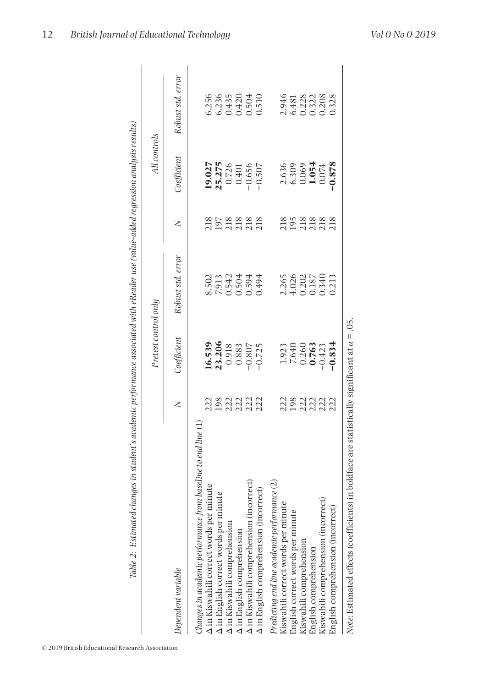|               | j                             |
|---------------|-------------------------------|
|               |                               |
|               |                               |
|               |                               |
|               |                               |
|               |                               |
|               |                               |
|               |                               |
|               |                               |
| ׇ֚֚֬֕         |                               |
|               | j<br>ś                        |
| ׇ֖֚֚֬֕        |                               |
| ׇ֘֒           |                               |
|               |                               |
|               |                               |
|               |                               |
|               |                               |
|               |                               |
|               |                               |
|               |                               |
|               |                               |
|               |                               |
|               |                               |
|               | ׇׇ֚֠֕֡                        |
| ļ             | í                             |
|               |                               |
|               |                               |
| $\frac{1}{2}$ |                               |
|               |                               |
|               |                               |
|               |                               |
| ¢             |                               |
| i<br>t        |                               |
|               |                               |
|               |                               |
|               |                               |
|               |                               |
|               |                               |
|               |                               |
|               |                               |
| $\frac{1}{2}$ |                               |
|               |                               |
| Ï             |                               |
|               |                               |
|               |                               |
|               |                               |
| l             |                               |
|               |                               |
|               |                               |
|               |                               |
|               |                               |
|               |                               |
|               |                               |
|               | i<br>í                        |
|               |                               |
|               |                               |
| Î             |                               |
|               |                               |
| Í             |                               |
| I             | l                             |
|               | I                             |
|               |                               |
| J<br>I        | $\overline{\phantom{a}}$<br>₹ |
| I             |                               |
|               |                               |
|               |                               |
|               |                               |

| Coefficient<br>16.539<br>23.206<br>0.918<br>0.883<br>-0.807<br>-0.725<br>n<br>2022222<br>202222<br>$\geq$<br>Changes in academic performance from baseline to end line (1<br>$\Delta$ in Kiswahili comprehension (incorrect)<br>A in Kiswahili correct words per minute<br>A in English correct words per minute<br>A in Kiswahili comprehension<br>A in English comprehension<br>Dependent variable | Robust std. error                         |                                         |                                                      | All controls                               |
|------------------------------------------------------------------------------------------------------------------------------------------------------------------------------------------------------------------------------------------------------------------------------------------------------------------------------------------------------------------------------------------------------|-------------------------------------------|-----------------------------------------|------------------------------------------------------|--------------------------------------------|
|                                                                                                                                                                                                                                                                                                                                                                                                      |                                           | $\geq$                                  | Coefficient                                          | Robust std. error                          |
|                                                                                                                                                                                                                                                                                                                                                                                                      |                                           |                                         |                                                      |                                            |
|                                                                                                                                                                                                                                                                                                                                                                                                      |                                           |                                         |                                                      |                                            |
|                                                                                                                                                                                                                                                                                                                                                                                                      |                                           |                                         |                                                      |                                            |
|                                                                                                                                                                                                                                                                                                                                                                                                      | 8.502<br>7.913<br>0.542<br>0.594<br>0.594 | 8 N 8 8 8 8<br>2 2 2 2 2 3<br>8 2 2 2 2 | 19.027<br>25.275<br>26.01<br>0.401<br>0.507<br>0.507 | 6.256<br>6.236<br>6.2435<br>0.504<br>0.510 |
|                                                                                                                                                                                                                                                                                                                                                                                                      |                                           |                                         |                                                      |                                            |
|                                                                                                                                                                                                                                                                                                                                                                                                      |                                           |                                         |                                                      |                                            |
| A in English comprehension (incorrect)                                                                                                                                                                                                                                                                                                                                                               |                                           |                                         |                                                      |                                            |
| $Predicting$ end line academic performance $(2)$                                                                                                                                                                                                                                                                                                                                                     |                                           |                                         |                                                      |                                            |
| $\begin{array}{r} 1.923 \\ 7.640 \\ 0.260 \\ \mathbf{0.763} \\ -0.423 \end{array}$<br>Kiswahili correct words per minute                                                                                                                                                                                                                                                                             |                                           |                                         |                                                      |                                            |
| English correct words per minute                                                                                                                                                                                                                                                                                                                                                                     |                                           |                                         |                                                      |                                            |
| Kiswahili comprehension                                                                                                                                                                                                                                                                                                                                                                              |                                           |                                         |                                                      |                                            |
| 282222<br>282222<br>English comprehension                                                                                                                                                                                                                                                                                                                                                            | 2.265<br>4.026<br>0.202<br>0.340<br>0.340 | 858888<br>202223                        | $2.636$<br>$6.309$<br>$0.069$<br>$1.054$<br>$1.074$  | 2.946<br>6.481<br>6.228<br>0.322<br>0.328  |
| Kiswahili comprehension (incorrect)                                                                                                                                                                                                                                                                                                                                                                  |                                           |                                         |                                                      |                                            |
| $-0.834$<br>English comprehension (incorrect)                                                                                                                                                                                                                                                                                                                                                        |                                           |                                         | 0.878                                                |                                            |

© 2019 British Educational Research Association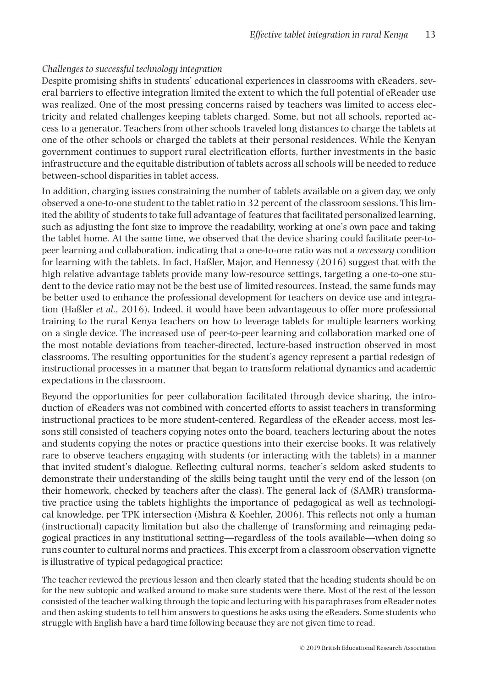## *Challenges to successful technology integration*

Despite promising shifts in students' educational experiences in classrooms with eReaders, several barriers to effective integration limited the extent to which the full potential of eReader use was realized. One of the most pressing concerns raised by teachers was limited to access electricity and related challenges keeping tablets charged. Some, but not all schools, reported access to a generator. Teachers from other schools traveled long distances to charge the tablets at one of the other schools or charged the tablets at their personal residences. While the Kenyan government continues to support rural electrification efforts, further investments in the basic infrastructure and the equitable distribution of tablets across all schools will be needed to reduce between-school disparities in tablet access.

In addition, charging issues constraining the number of tablets available on a given day, we only observed a one-to-one student to the tablet ratio in 32 percent of the classroom sessions. This limited the ability of students to take full advantage of features that facilitated personalized learning, such as adjusting the font size to improve the readability, working at one's own pace and taking the tablet home. At the same time, we observed that the device sharing could facilitate peer-topeer learning and collaboration, indicating that a one-to-one ratio was not a *necessary* condition for learning with the tablets. In fact, Haßler, Major, and Hennessy (2016) suggest that with the high relative advantage tablets provide many low-resource settings, targeting a one-to-one student to the device ratio may not be the best use of limited resources. Instead, the same funds may be better used to enhance the professional development for teachers on device use and integration (Haßler *et al.*, 2016). Indeed, it would have been advantageous to offer more professional training to the rural Kenya teachers on how to leverage tablets for multiple learners working on a single device. The increased use of peer-to-peer learning and collaboration marked one of the most notable deviations from teacher-directed, lecture-based instruction observed in most classrooms. The resulting opportunities for the student's agency represent a partial redesign of instructional processes in a manner that began to transform relational dynamics and academic expectations in the classroom.

Beyond the opportunities for peer collaboration facilitated through device sharing, the introduction of eReaders was not combined with concerted efforts to assist teachers in transforming instructional practices to be more student-centered. Regardless of the eReader access, most lessons still consisted of teachers copying notes onto the board, teachers lecturing about the notes and students copying the notes or practice questions into their exercise books. It was relatively rare to observe teachers engaging with students (or interacting with the tablets) in a manner that invited student's dialogue. Reflecting cultural norms, teacher's seldom asked students to demonstrate their understanding of the skills being taught until the very end of the lesson (on their homework, checked by teachers after the class). The general lack of (SAMR) transformative practice using the tablets highlights the importance of pedagogical as well as technological knowledge, per TPK intersection (Mishra & Koehler, 2006). This reflects not only a human (instructional) capacity limitation but also the challenge of transforming and reimaging pedagogical practices in any institutional setting—regardless of the tools available—when doing so runs counter to cultural norms and practices. This excerpt from a classroom observation vignette is illustrative of typical pedagogical practice:

The teacher reviewed the previous lesson and then clearly stated that the heading students should be on for the new subtopic and walked around to make sure students were there. Most of the rest of the lesson consisted of the teacher walking through the topic and lecturing with his paraphrases from eReader notes and then asking students to tell him answers to questions he asks using the eReaders. Some students who struggle with English have a hard time following because they are not given time to read.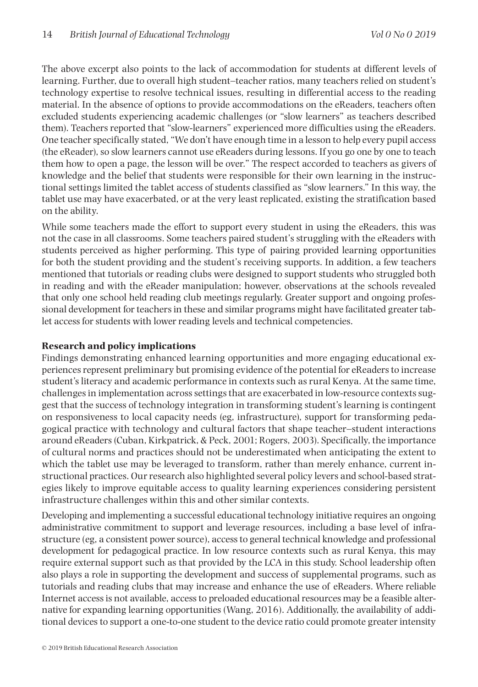The above excerpt also points to the lack of accommodation for students at different levels of learning. Further, due to overall high student–teacher ratios, many teachers relied on student's technology expertise to resolve technical issues, resulting in differential access to the reading material. In the absence of options to provide accommodations on the eReaders, teachers often excluded students experiencing academic challenges (or "slow learners" as teachers described them). Teachers reported that "slow-learners" experienced more difficulties using the eReaders. One teacher specifically stated, "We don't have enough time in a lesson to help every pupil access (the eReader), so slow learners cannot use eReaders during lessons. If you go one by one to teach them how to open a page, the lesson will be over*.*" The respect accorded to teachers as givers of knowledge and the belief that students were responsible for their own learning in the instructional settings limited the tablet access of students classified as "slow learners." In this way, the tablet use may have exacerbated, or at the very least replicated, existing the stratification based on the ability.

While some teachers made the effort to support every student in using the eReaders, this was not the case in all classrooms. Some teachers paired student's struggling with the eReaders with students perceived as higher performing. This type of pairing provided learning opportunities for both the student providing and the student's receiving supports. In addition, a few teachers mentioned that tutorials or reading clubs were designed to support students who struggled both in reading and with the eReader manipulation; however, observations at the schools revealed that only one school held reading club meetings regularly. Greater support and ongoing professional development for teachers in these and similar programs might have facilitated greater tablet access for students with lower reading levels and technical competencies.

# **Research and policy implications**

Findings demonstrating enhanced learning opportunities and more engaging educational experiences represent preliminary but promising evidence of the potential for eReaders to increase student's literacy and academic performance in contexts such as rural Kenya. At the same time, challenges in implementation across settings that are exacerbated in low-resource contexts suggest that the success of technology integration in transforming student's learning is contingent on responsiveness to local capacity needs (eg, infrastructure), support for transforming pedagogical practice with technology and cultural factors that shape teacher–student interactions around eReaders (Cuban, Kirkpatrick, & Peck, 2001; Rogers, 2003). Specifically, the importance of cultural norms and practices should not be underestimated when anticipating the extent to which the tablet use may be leveraged to transform, rather than merely enhance, current instructional practices. Our research also highlighted several policy levers and school-based strategies likely to improve equitable access to quality learning experiences considering persistent infrastructure challenges within this and other similar contexts.

Developing and implementing a successful educational technology initiative requires an ongoing administrative commitment to support and leverage resources, including a base level of infrastructure (eg, a consistent power source), access to general technical knowledge and professional development for pedagogical practice. In low resource contexts such as rural Kenya, this may require external support such as that provided by the LCA in this study. School leadership often also plays a role in supporting the development and success of supplemental programs, such as tutorials and reading clubs that may increase and enhance the use of eReaders. Where reliable Internet access is not available, access to preloaded educational resources may be a feasible alternative for expanding learning opportunities (Wang, 2016). Additionally, the availability of additional devices to support a one-to-one student to the device ratio could promote greater intensity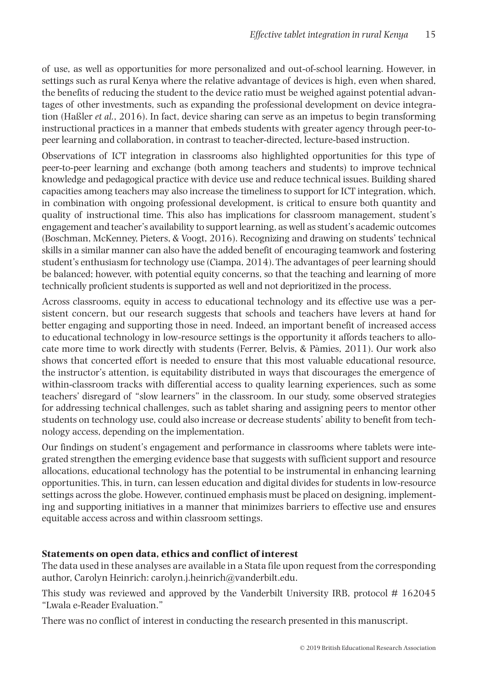of use, as well as opportunities for more personalized and out-of-school learning. However, in settings such as rural Kenya where the relative advantage of devices is high, even when shared, the benefits of reducing the student to the device ratio must be weighed against potential advantages of other investments, such as expanding the professional development on device integration (Haßler *et al.*, 2016). In fact, device sharing can serve as an impetus to begin transforming instructional practices in a manner that embeds students with greater agency through peer-topeer learning and collaboration, in contrast to teacher-directed, lecture-based instruction.

Observations of ICT integration in classrooms also highlighted opportunities for this type of peer-to-peer learning and exchange (both among teachers and students) to improve technical knowledge and pedagogical practice with device use and reduce technical issues. Building shared capacities among teachers may also increase the timeliness to support for ICT integration, which, in combination with ongoing professional development, is critical to ensure both quantity and quality of instructional time. This also has implications for classroom management, student's engagement and teacher's availability to support learning, as well as student's academic outcomes (Boschman, McKenney, Pieters, & Voogt, 2016). Recognizing and drawing on students' technical skills in a similar manner can also have the added benefit of encouraging teamwork and fostering student's enthusiasm for technology use (Ciampa, 2014). The advantages of peer learning should be balanced; however, with potential equity concerns, so that the teaching and learning of more technically proficient students is supported as well and not deprioritized in the process.

Across classrooms, equity in access to educational technology and its effective use was a persistent concern, but our research suggests that schools and teachers have levers at hand for better engaging and supporting those in need. Indeed, an important benefit of increased access to educational technology in low-resource settings is the opportunity it affords teachers to allocate more time to work directly with students (Ferrer, Belvis, & Pàmies, 2011). Our work also shows that concerted effort is needed to ensure that this most valuable educational resource, the instructor's attention, is equitability distributed in ways that discourages the emergence of within-classroom tracks with differential access to quality learning experiences, such as some teachers' disregard of "slow learners" in the classroom. In our study, some observed strategies for addressing technical challenges, such as tablet sharing and assigning peers to mentor other students on technology use, could also increase or decrease students' ability to benefit from technology access, depending on the implementation.

Our findings on student's engagement and performance in classrooms where tablets were integrated strengthen the emerging evidence base that suggests with sufficient support and resource allocations, educational technology has the potential to be instrumental in enhancing learning opportunities. This, in turn, can lessen education and digital divides for students in low-resource settings across the globe. However, continued emphasis must be placed on designing, implementing and supporting initiatives in a manner that minimizes barriers to effective use and ensures equitable access across and within classroom settings.

# **Statements on open data, ethics and conflict of interest**

The data used in these analyses are available in a Stata file upon request from the corresponding author, Carolyn Heinrich: [carolyn.j.heinrich@vanderbilt.edu.](mailto:carolyn.j.heinrich@vanderbilt.edu)

This study was reviewed and approved by the Vanderbilt University IRB, protocol # 162045 "Lwala e-Reader Evaluation."

There was no conflict of interest in conducting the research presented in this manuscript.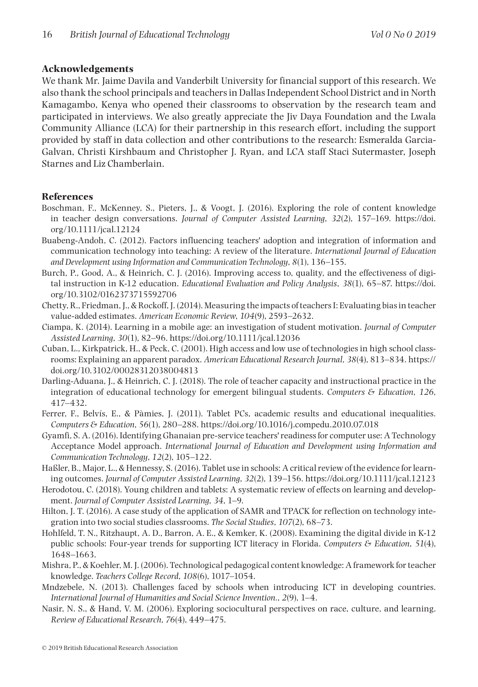#### **Acknowledgements**

We thank Mr. Jaime Davila and Vanderbilt University for financial support of this research. We also thank the school principals and teachers in Dallas Independent School District and in North Kamagambo, Kenya who opened their classrooms to observation by the research team and participated in interviews. We also greatly appreciate the Jiv Daya Foundation and the Lwala Community Alliance (LCA) for their partnership in this research effort, including the support provided by staff in data collection and other contributions to the research: Esmeralda Garcia-Galvan, Christi Kirshbaum and Christopher J. Ryan, and LCA staff Staci Sutermaster, Joseph Starnes and Liz Chamberlain.

# **References**

- Boschman, F., McKenney, S., Pieters, J., & Voogt, J. (2016). Exploring the role of content knowledge in teacher design conversations. *Journal of Computer Assisted Learning*, *32*(2), 157–169. [https://doi.](https://doi.org/10.1111/jcal.12124) [org/10.1111/jcal.12124](https://doi.org/10.1111/jcal.12124)
- Buabeng-Andoh, C. (2012). Factors influencing teachers' adoption and integration of information and communication technology into teaching: A review of the literature. *International Journal of Education and Development using Information and Communication Technology*, *8*(1), 136–155.
- Burch, P., Good, A., & Heinrich, C. J. (2016). Improving access to, quality, and the effectiveness of digital instruction in K-12 education. *Educational Evaluation and Policy Analysis*, *38*(1), 65–87. [https://doi.](https://doi.org/10.3102/0162373715592706) [org/10.3102/0162373715592706](https://doi.org/10.3102/0162373715592706)
- Chetty, R., Friedman, J., & Rockoff, J. (2014). Measuring the impacts of teachers I: Evaluating bias in teacher value-added estimates. *American Economic Review*, *104*(9), 2593–2632.
- Ciampa, K. (2014). Learning in a mobile age: an investigation of student motivation. *Journal of Computer Assisted Learning*, *30*(1), 82–96.<https://doi.org/10.1111/jcal.12036>
- Cuban, L., Kirkpatrick, H., & Peck, C. (2001). High access and low use of technologies in high school classrooms: Explaining an apparent paradox. *American Educational Research Journal*, *38*(4), 813–834. [https://](https://doi.org/10.3102/00028312038004813) [doi.org/10.3102/00028312038004813](https://doi.org/10.3102/00028312038004813)
- Darling-Aduana, J., & Heinrich, C. J. (2018). The role of teacher capacity and instructional practice in the integration of educational technology for emergent bilingual students. *Computers & Education*, *126*, 417–432.
- Ferrer, F., Belvís, E., & Pàmies, J. (2011). Tablet PCs, academic results and educational inequalities. *Computers & Education*, *56*(1), 280–288. <https://doi.org/10.1016/j.compedu.2010.07.018>
- Gyamfi, S. A. (2016). Identifying Ghanaian pre-service teachers' readiness for computer use: A Technology Acceptance Model approach. *International Journal of Education and Development using Information and Communication Technology*, *12*(2), 105–122.
- Haßler, B., Major, L., & Hennessy, S. (2016). Tablet use in schools: A critical review of the evidence for learning outcomes. *Journal of Computer Assisted Learning*, *32*(2), 139–156. <https://doi.org/10.1111/jcal.12123>
- Herodotou, C. (2018). Young children and tablets: A systematic review of effects on learning and development. *Journal of Computer Assisted Learning*, *34*, 1–9.
- Hilton, J. T. (2016). A case study of the application of SAMR and TPACK for reflection on technology integration into two social studies classrooms. *The Social Studies*, *107*(2), 68–73.
- Hohlfeld, T. N., Ritzhaupt, A. D., Barron, A. E., & Kemker, K. (2008). Examining the digital divide in K-12 public schools: Four-year trends for supporting ICT literacy in Florida. *Computers & Education*, *51*(4), 1648–1663.
- Mishra, P., & Koehler, M. J. (2006). Technological pedagogical content knowledge: A framework for teacher knowledge. *Teachers College Record*, *108*(6), 1017–1054.
- Mndzebele, N. (2013). Challenges faced by schools when introducing ICT in developing countries. *International Journal of Humanities and Social Science Invention.*, *2*(9), 1–4.
- Nasir, N. S., & Hand, V. M. (2006). Exploring sociocultural perspectives on race, culture, and learning. *Review of Educational Research*, *76*(4), 449–475.